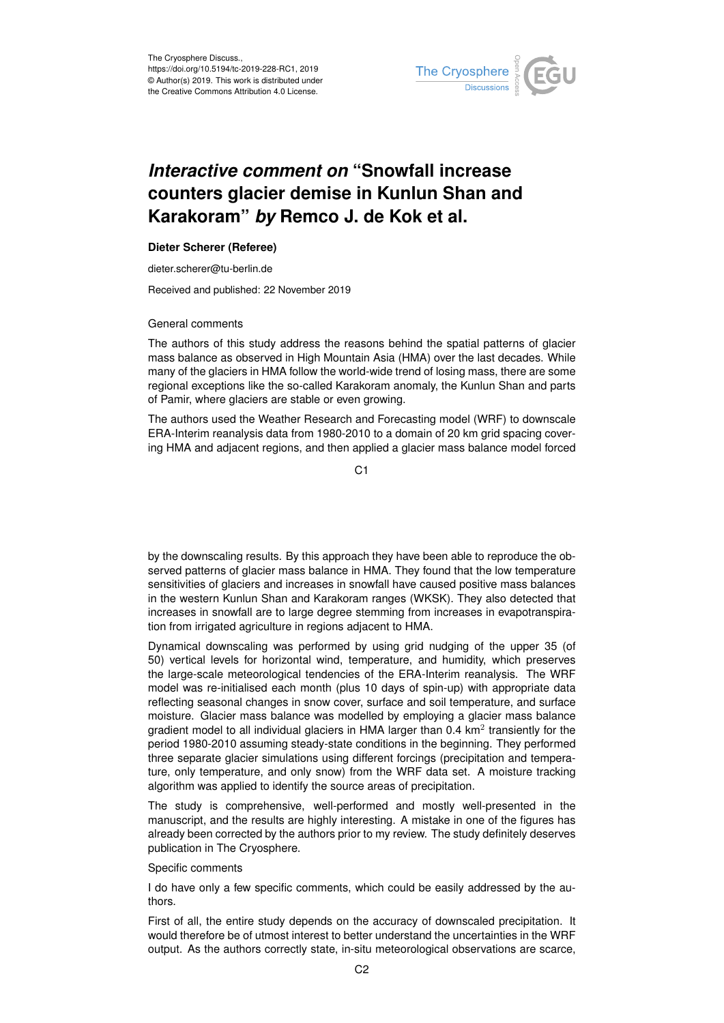

## *Interactive comment on* **"Snowfall increase counters glacier demise in Kunlun Shan and Karakoram"** *by* **Remco J. de Kok et al.**

## **Dieter Scherer (Referee)**

dieter.scherer@tu-berlin.de

Received and published: 22 November 2019

## General comments

The authors of this study address the reasons behind the spatial patterns of glacier mass balance as observed in High Mountain Asia (HMA) over the last decades. While many of the glaciers in HMA follow the world-wide trend of losing mass, there are some regional exceptions like the so-called Karakoram anomaly, the Kunlun Shan and parts of Pamir, where glaciers are stable or even growing.

The authors used the Weather Research and Forecasting model (WRF) to downscale ERA-Interim reanalysis data from 1980-2010 to a domain of 20 km grid spacing covering HMA and adjacent regions, and then applied a glacier mass balance model forced

C1

by the downscaling results. By this approach they have been able to reproduce the observed patterns of glacier mass balance in HMA. They found that the low temperature sensitivities of glaciers and increases in snowfall have caused positive mass balances in the western Kunlun Shan and Karakoram ranges (WKSK). They also detected that increases in snowfall are to large degree stemming from increases in evapotranspiration from irrigated agriculture in regions adjacent to HMA.

Dynamical downscaling was performed by using grid nudging of the upper 35 (of 50) vertical levels for horizontal wind, temperature, and humidity, which preserves the large-scale meteorological tendencies of the ERA-Interim reanalysis. The WRF model was re-initialised each month (plus 10 days of spin-up) with appropriate data reflecting seasonal changes in snow cover, surface and soil temperature, and surface moisture. Glacier mass balance was modelled by employing a glacier mass balance gradient model to all individual glaciers in HMA larger than 0.4 km<sup>2</sup> transiently for the period 1980-2010 assuming steady-state conditions in the beginning. They performed three separate glacier simulations using different forcings (precipitation and temperature, only temperature, and only snow) from the WRF data set. A moisture tracking algorithm was applied to identify the source areas of precipitation.

The study is comprehensive, well-performed and mostly well-presented in the manuscript, and the results are highly interesting. A mistake in one of the figures has already been corrected by the authors prior to my review. The study definitely deserves publication in The Cryosphere.

Specific comments

I do have only a few specific comments, which could be easily addressed by the authors.

First of all, the entire study depends on the accuracy of downscaled precipitation. It would therefore be of utmost interest to better understand the uncertainties in the WRF output. As the authors correctly state, in-situ meteorological observations are scarce,